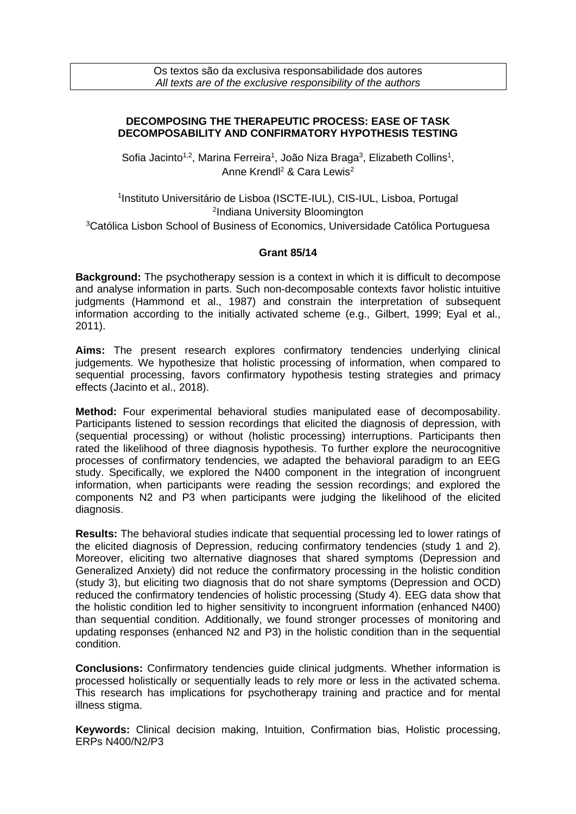## **DECOMPOSING THE THERAPEUTIC PROCESS: EASE OF TASK DECOMPOSABILITY AND CONFIRMATORY HYPOTHESIS TESTING**

Sofia Jacinto<sup>1,2</sup>, Marina Ferreira<sup>1</sup>, João Niza Braga<sup>3</sup>, Elizabeth Collins<sup>1</sup>, Anne Krendl<sup>2</sup> & Cara Lewis<sup>2</sup>

1 Instituto Universitário de Lisboa (ISCTE-IUL), CIS-IUL, Lisboa, Portugal <sup>2</sup>Indiana University Bloomington <sup>3</sup>Católica Lisbon School of Business of Economics, Universidade Católica Portuguesa

## **Grant 85/14**

**Background:** The psychotherapy session is a context in which it is difficult to decompose and analyse information in parts. Such non-decomposable contexts favor holistic intuitive judgments (Hammond et al., 1987) and constrain the interpretation of subsequent information according to the initially activated scheme (e.g., Gilbert, 1999; Eyal et al., 2011).

**Aims:** The present research explores confirmatory tendencies underlying clinical judgements. We hypothesize that holistic processing of information, when compared to sequential processing, favors confirmatory hypothesis testing strategies and primacy effects (Jacinto et al., 2018).

**Method:** Four experimental behavioral studies manipulated ease of decomposability. Participants listened to session recordings that elicited the diagnosis of depression, with (sequential processing) or without (holistic processing) interruptions. Participants then rated the likelihood of three diagnosis hypothesis. To further explore the neurocognitive processes of confirmatory tendencies, we adapted the behavioral paradigm to an EEG study. Specifically, we explored the N400 component in the integration of incongruent information, when participants were reading the session recordings; and explored the components N2 and P3 when participants were judging the likelihood of the elicited diagnosis.

**Results:** The behavioral studies indicate that sequential processing led to lower ratings of the elicited diagnosis of Depression, reducing confirmatory tendencies (study 1 and 2). Moreover, eliciting two alternative diagnoses that shared symptoms (Depression and Generalized Anxiety) did not reduce the confirmatory processing in the holistic condition (study 3), but eliciting two diagnosis that do not share symptoms (Depression and OCD) reduced the confirmatory tendencies of holistic processing (Study 4). EEG data show that the holistic condition led to higher sensitivity to incongruent information (enhanced N400) than sequential condition. Additionally, we found stronger processes of monitoring and updating responses (enhanced N2 and P3) in the holistic condition than in the sequential condition.

**Conclusions:** Confirmatory tendencies guide clinical judgments. Whether information is processed holistically or sequentially leads to rely more or less in the activated schema. This research has implications for psychotherapy training and practice and for mental illness stigma.

**Keywords:** Clinical decision making, Intuition, Confirmation bias, Holistic processing, ERPs N400/N2/P3